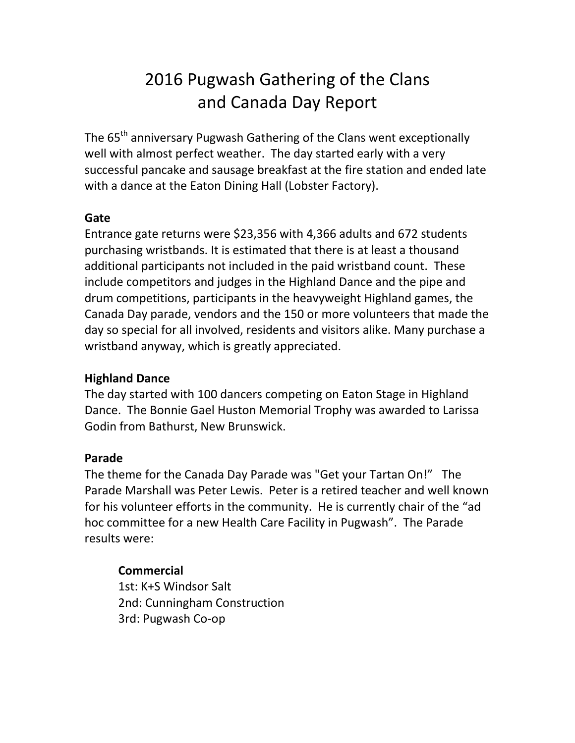# 2016 Pugwash Gathering of the Clans and Canada Day Report

The 65<sup>th</sup> anniversary Pugwash Gathering of the Clans went exceptionally well with almost perfect weather. The day started early with a very successful pancake and sausage breakfast at the fire station and ended late with a dance at the Eaton Dining Hall (Lobster Factory).

## **Gate**

Entrance gate returns were \$23,356 with 4,366 adults and 672 students purchasing wristbands. It is estimated that there is at least a thousand additional participants not included in the paid wristband count. These include competitors and judges in the Highland Dance and the pipe and drum competitions, participants in the heavyweight Highland games, the Canada Day parade, vendors and the 150 or more volunteers that made the day so special for all involved, residents and visitors alike. Many purchase a wristband anyway, which is greatly appreciated.

# **Highland Dance**

The day started with 100 dancers competing on Eaton Stage in Highland Dance. The Bonnie Gael Huston Memorial Trophy was awarded to Larissa Godin from Bathurst, New Brunswick.

# **Parade**

The theme for the Canada Day Parade was "Get your Tartan On!" The Parade Marshall was Peter Lewis. Peter is a retired teacher and well known for his volunteer efforts in the community. He is currently chair of the "ad hoc committee for a new Health Care Facility in Pugwash". The Parade results were:

# **Commercial**

1st: K+S Windsor Salt 2nd: Cunningham Construction 3rd: Pugwash Co-op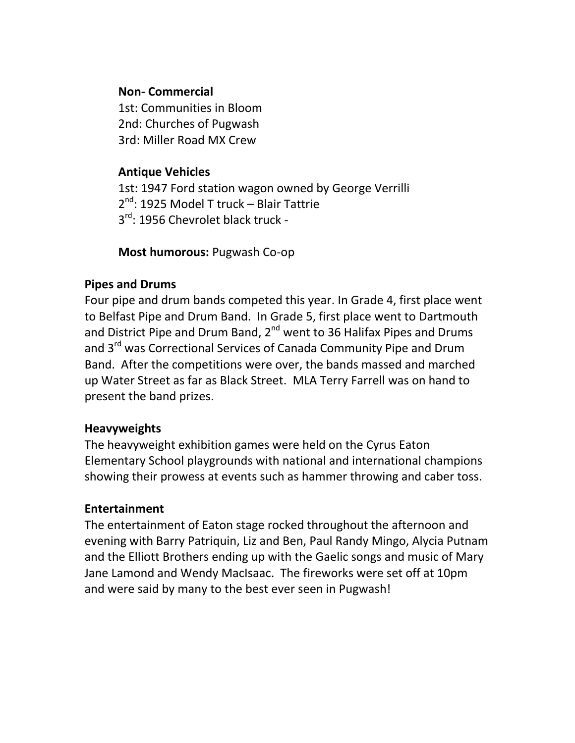## **Non- Commercial**

1st: Communities in Bloom 2nd: Churches of Pugwash 3rd: Miller Road MX Crew

## **Antique Vehicles**

1st: 1947 Ford station wagon owned by George Verrilli 2<sup>nd</sup>: 1925 Model T truck – Blair Tattrie 3<sup>rd</sup>: 1956 Chevrolet black truck -

**Most humorous:** Pugwash Co-op

# **Pipes and Drums**

Four pipe and drum bands competed this year. In Grade 4, first place went to Belfast Pipe and Drum Band. In Grade 5, first place went to Dartmouth and District Pipe and Drum Band, 2<sup>nd</sup> went to 36 Halifax Pipes and Drums and 3<sup>rd</sup> was Correctional Services of Canada Community Pipe and Drum Band. After the competitions were over, the bands massed and marched up Water Street as far as Black Street. MLA Terry Farrell was on hand to present the band prizes.

## **Heavyweights**

The heavyweight exhibition games were held on the Cyrus Eaton Elementary School playgrounds with national and international champions showing their prowess at events such as hammer throwing and caber toss.

# **Entertainment**

The entertainment of Eaton stage rocked throughout the afternoon and evening with Barry Patriquin, Liz and Ben, Paul Randy Mingo, Alycia Putnam and the Elliott Brothers ending up with the Gaelic songs and music of Mary Jane Lamond and Wendy MacIsaac. The fireworks were set off at 10pm and were said by many to the best ever seen in Pugwash!